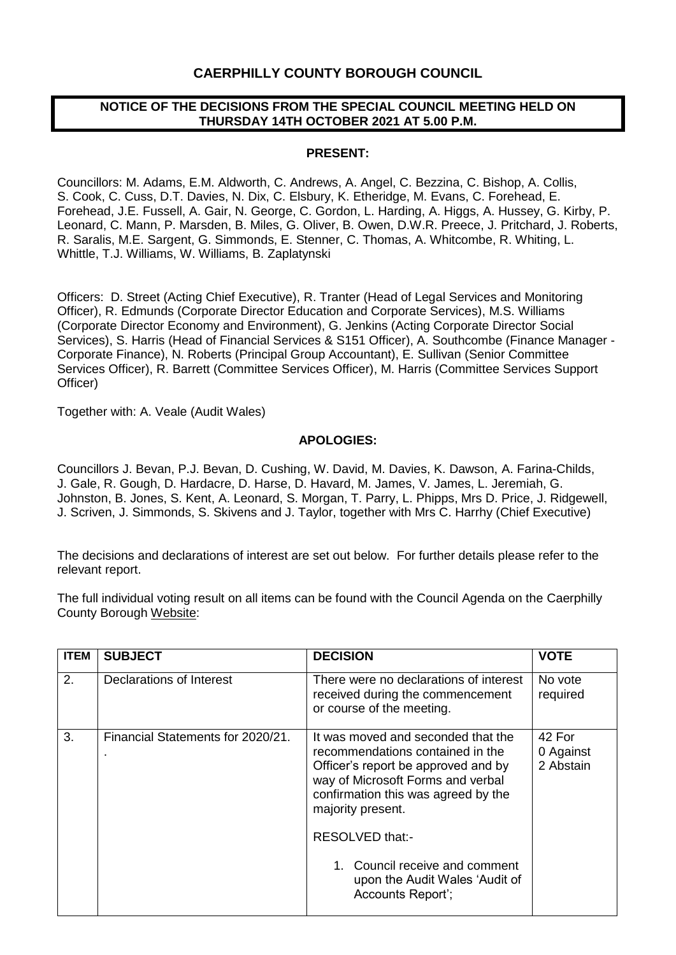## **CAERPHILLY COUNTY BOROUGH COUNCIL**

### **NOTICE OF THE DECISIONS FROM THE SPECIAL COUNCIL MEETING HELD ON THURSDAY 14TH OCTOBER 2021 AT 5.00 P.M.**

#### **PRESENT:**

Councillors: M. Adams, E.M. Aldworth, C. Andrews, A. Angel, C. Bezzina, C. Bishop, A. Collis, S. Cook, C. Cuss, D.T. Davies, N. Dix, C. Elsbury, K. Etheridge, M. Evans, C. Forehead, E. Forehead, J.E. Fussell, A. Gair, N. George, C. Gordon, L. Harding, A. Higgs, A. Hussey, G. Kirby, P. Leonard, C. Mann, P. Marsden, B. Miles, G. Oliver, B. Owen, D.W.R. Preece, J. Pritchard, J. Roberts, R. Saralis, M.E. Sargent, G. Simmonds, E. Stenner, C. Thomas, A. Whitcombe, R. Whiting, L. Whittle, T.J. Williams, W. Williams, B. Zaplatynski

Officers: D. Street (Acting Chief Executive), R. Tranter (Head of Legal Services and Monitoring Officer), R. Edmunds (Corporate Director Education and Corporate Services), M.S. Williams (Corporate Director Economy and Environment), G. Jenkins (Acting Corporate Director Social Services), S. Harris (Head of Financial Services & S151 Officer), A. Southcombe (Finance Manager - Corporate Finance), N. Roberts (Principal Group Accountant), E. Sullivan (Senior Committee Services Officer), R. Barrett (Committee Services Officer), M. Harris (Committee Services Support Officer)

Together with: A. Veale (Audit Wales)

#### **APOLOGIES:**

Councillors J. Bevan, P.J. Bevan, D. Cushing, W. David, M. Davies, K. Dawson, A. Farina-Childs, J. Gale, R. Gough, D. Hardacre, D. Harse, D. Havard, M. James, V. James, L. Jeremiah, G. Johnston, B. Jones, S. Kent, A. Leonard, S. Morgan, T. Parry, L. Phipps, Mrs D. Price, J. Ridgewell, J. Scriven, J. Simmonds, S. Skivens and J. Taylor, together with Mrs C. Harrhy (Chief Executive)

The decisions and declarations of interest are set out below. For further details please refer to the relevant report.

The full individual voting result on all items can be found with the Council Agenda on the Caerphilly County Borough [Website:](https://www.caerphilly.gov.uk/My-Council/Meetings,-agendas,-minutes-and-reports)

| <b>ITEM</b> | <b>SUBJECT</b>                         | <b>DECISION</b>                                                                                                                                                                                                                                                                                                            | <b>VOTE</b>                      |
|-------------|----------------------------------------|----------------------------------------------------------------------------------------------------------------------------------------------------------------------------------------------------------------------------------------------------------------------------------------------------------------------------|----------------------------------|
| 2.          | Declarations of Interest               | There were no declarations of interest<br>received during the commencement<br>or course of the meeting.                                                                                                                                                                                                                    | No vote<br>required              |
| 3.          | Financial Statements for 2020/21.<br>٠ | It was moved and seconded that the<br>recommendations contained in the<br>Officer's report be approved and by<br>way of Microsoft Forms and verbal<br>confirmation this was agreed by the<br>majority present.<br>RESOLVED that:-<br>1. Council receive and comment<br>upon the Audit Wales 'Audit of<br>Accounts Report'; | 42 For<br>0 Against<br>2 Abstain |